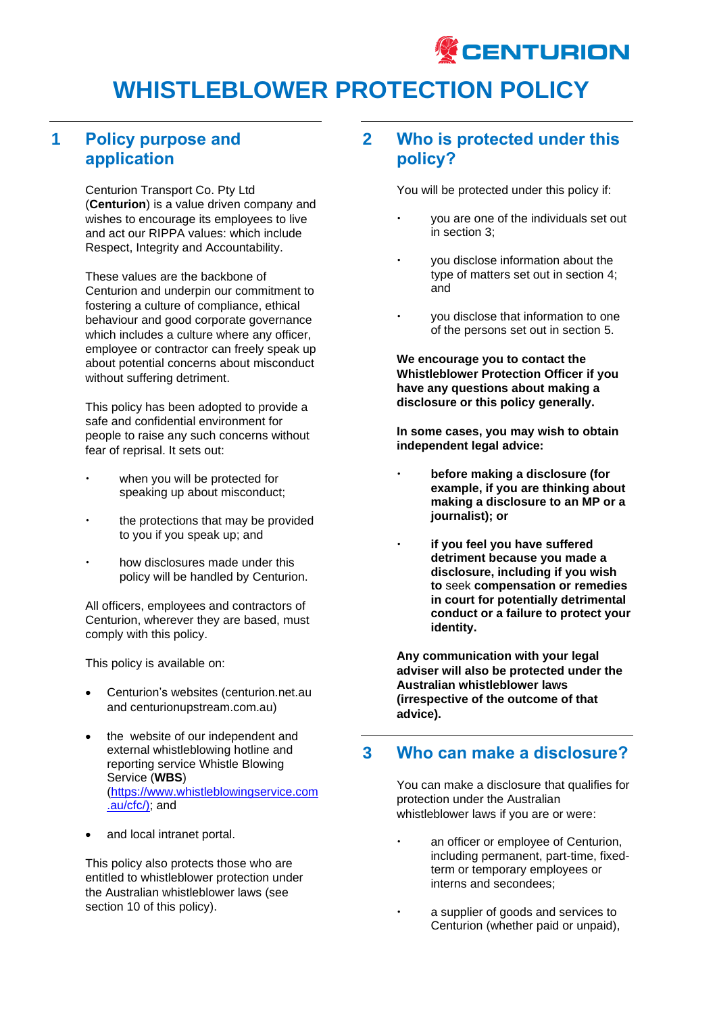

### **1 Policy purpose and application**

Centurion Transport Co. Pty Ltd (**Centurion**) is a value driven company and wishes to encourage its employees to live and act our RIPPA values: which include Respect, Integrity and Accountability.

These values are the backbone of Centurion and underpin our commitment to fostering a culture of compliance, ethical behaviour and good corporate governance which includes a culture where any officer, employee or contractor can freely speak up about potential concerns about misconduct without suffering detriment.

This policy has been adopted to provide a safe and confidential environment for people to raise any such concerns without fear of reprisal. It sets out:

- when you will be protected for speaking up about misconduct;
- the protections that may be provided to you if you speak up; and
- how disclosures made under this policy will be handled by Centurion.

All officers, employees and contractors of Centurion, wherever they are based, must comply with this policy.

This policy is available on:

- Centurion's websites (centurion.net.au and centurionupstream.com.au)
- the website of our independent and external whistleblowing hotline and reporting service Whistle Blowing Service (**WBS**) [\(https://www.whistleblowingservice.com](https://www.whistleblowingservice.com.au/cfc/) [.au/cfc/\)](https://www.whistleblowingservice.com.au/cfc/); and
- and local intranet portal.

This policy also protects those who are entitled to whistleblower protection under the Australian whistleblower laws (see section 10 of this policy).

## **2 Who is protected under this policy?**

You will be protected under this policy if:

- you are one of the individuals set out in section 3;
- you disclose information about the type of matters set out in section 4; and
- you disclose that information to one of the persons set out in section 5.

**We encourage you to contact the Whistleblower Protection Officer if you have any questions about making a disclosure or this policy generally.**

**In some cases, you may wish to obtain independent legal advice:**

- **before making a disclosure (for example, if you are thinking about making a disclosure to an MP or a journalist); or**
- **if you feel you have suffered detriment because you made a disclosure, including if you wish to** seek **compensation or remedies in court for potentially detrimental conduct or a failure to protect your identity.**

**Any communication with your legal adviser will also be protected under the Australian whistleblower laws (irrespective of the outcome of that advice).** 

### **3 Who can make a disclosure?**

You can make a disclosure that qualifies for protection under the Australian whistleblower laws if you are or were:

- an officer or employee of Centurion, including permanent, part-time, fixedterm or temporary employees or interns and secondees;
- a supplier of goods and services to Centurion (whether paid or unpaid),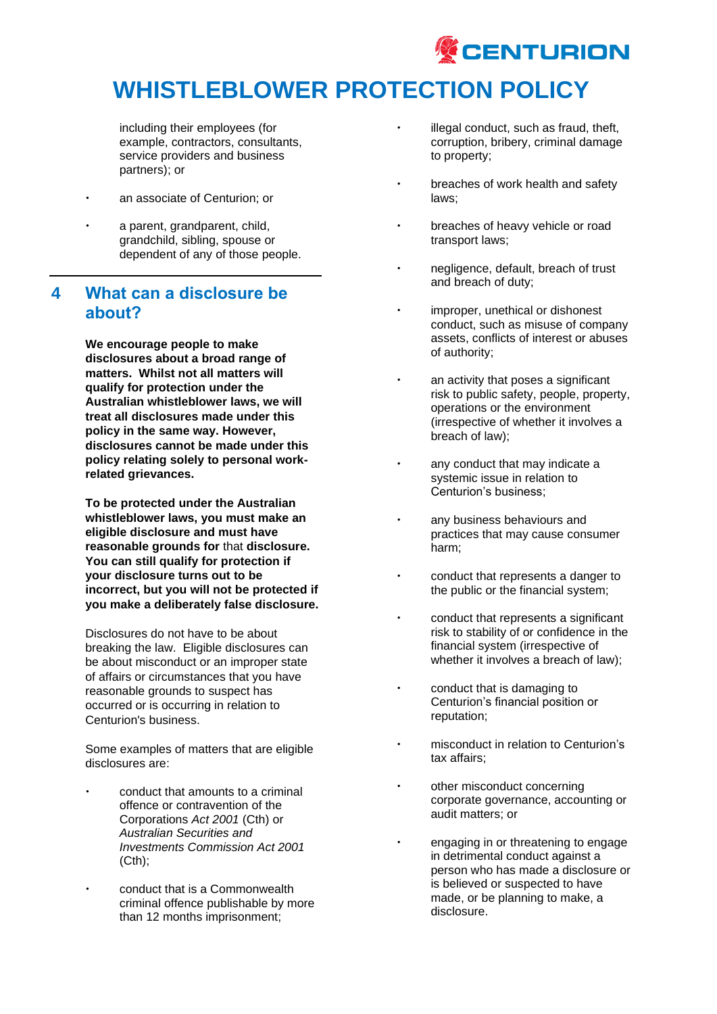

including their employees (for example, contractors, consultants, service providers and business partners); or

- an associate of Centurion; or
- a parent, grandparent, child, grandchild, sibling, spouse or dependent of any of those people.

### **4 What can a disclosure be about?**

**We encourage people to make disclosures about a broad range of matters. Whilst not all matters will qualify for protection under the Australian whistleblower laws, we will treat all disclosures made under this policy in the same way. However, disclosures cannot be made under this policy relating solely to personal workrelated grievances.**

**To be protected under the Australian whistleblower laws, you must make an eligible disclosure and must have reasonable grounds for** that **disclosure. You can still qualify for protection if your disclosure turns out to be incorrect, but you will not be protected if you make a deliberately false disclosure.**

Disclosures do not have to be about breaking the law. Eligible disclosures can be about misconduct or an improper state of affairs or circumstances that you have reasonable grounds to suspect has occurred or is occurring in relation to Centurion's business.

Some examples of matters that are eligible disclosures are:

- conduct that amounts to a criminal offence or contravention of the Corporations *Act 2001* (Cth) or *Australian Securities and Investments Commission Act 2001* (Cth);
- conduct that is a Commonwealth criminal offence publishable by more than 12 months imprisonment;
- illegal conduct, such as fraud, theft, corruption, bribery, criminal damage to property;
- breaches of work health and safety laws;
- breaches of heavy vehicle or road transport laws;
- negligence, default, breach of trust and breach of duty;
- improper, unethical or dishonest conduct, such as misuse of company assets, conflicts of interest or abuses of authority;
- an activity that poses a significant risk to public safety, people, property, operations or the environment (irrespective of whether it involves a breach of law);
- any conduct that may indicate a systemic issue in relation to Centurion's business;
- any business behaviours and practices that may cause consumer harm;
- conduct that represents a danger to the public or the financial system;
- conduct that represents a significant risk to stability of or confidence in the financial system (irrespective of whether it involves a breach of law);
- conduct that is damaging to Centurion's financial position or reputation;
- misconduct in relation to Centurion's tax affairs;
- other misconduct concerning corporate governance, accounting or audit matters; or
- engaging in or threatening to engage in detrimental conduct against a person who has made a disclosure or is believed or suspected to have made, or be planning to make, a disclosure.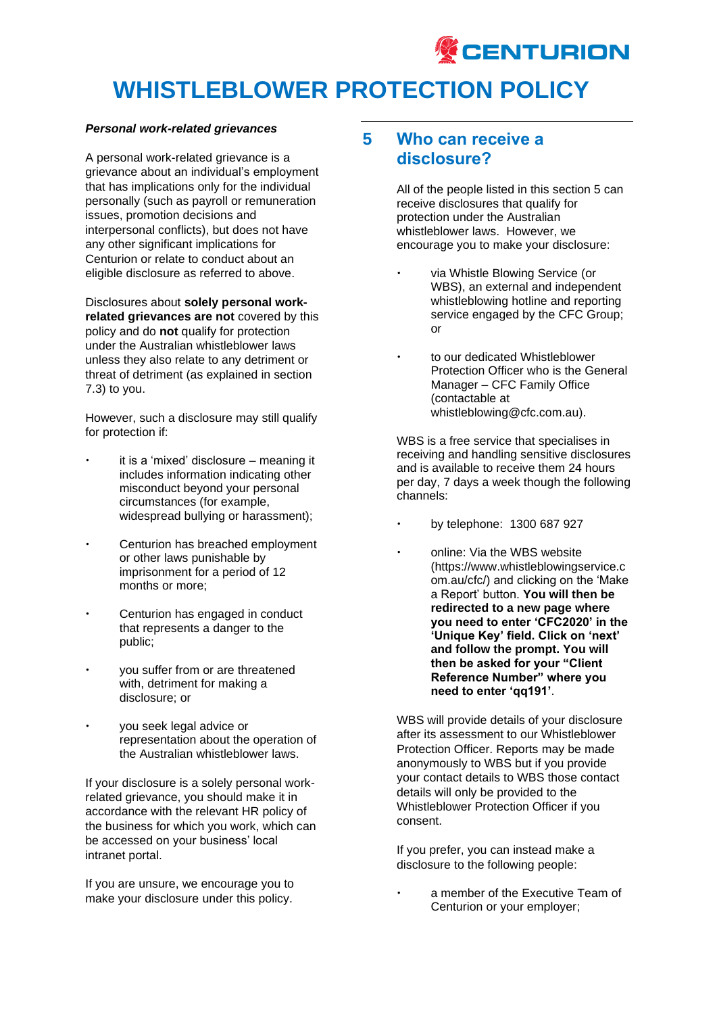

#### *Personal work-related grievances*

A personal work-related grievance is a grievance about an individual's employment that has implications only for the individual personally (such as payroll or remuneration issues, promotion decisions and interpersonal conflicts), but does not have any other significant implications for Centurion or relate to conduct about an eligible disclosure as referred to above.

Disclosures about **solely personal workrelated grievances are not** covered by this policy and do **not** qualify for protection under the Australian whistleblower laws unless they also relate to any detriment or threat of detriment (as explained in section 7.3) to you.

However, such a disclosure may still qualify for protection if:

- it is a 'mixed' disclosure meaning it includes information indicating other misconduct beyond your personal circumstances (for example, widespread bullying or harassment);
- Centurion has breached employment or other laws punishable by imprisonment for a period of 12 months or more;
- Centurion has engaged in conduct that represents a danger to the public;
- you suffer from or are threatened with, detriment for making a disclosure; or
- you seek legal advice or representation about the operation of the Australian whistleblower laws.

If your disclosure is a solely personal workrelated grievance, you should make it in accordance with the relevant HR policy of the business for which you work, which can be accessed on your business' local intranet portal.

If you are unsure, we encourage you to make your disclosure under this policy.

### **5 Who can receive a disclosure?**

All of the people listed in this section 5 can receive disclosures that qualify for protection under the Australian whistleblower laws. However, we encourage you to make your disclosure:

- via Whistle Blowing Service (or WBS), an external and independent whistleblowing hotline and reporting service engaged by the CFC Group; or
- to our dedicated Whistleblower Protection Officer who is the General Manager – CFC Family Office (contactable at whistleblowing@cfc.com.au).

WBS is a free service that specialises in receiving and handling sensitive disclosures and is available to receive them 24 hours per day, 7 days a week though the following channels:

- by telephone: 1300 687 927
- online: Via the WBS website (https://www.whistleblowingservice.c om.au/cfc/) and clicking on the 'Make a Report' button. **You will then be redirected to a new page where you need to enter 'CFC2020' in the 'Unique Key' field. Click on 'next' and follow the prompt. You will then be asked for your "Client Reference Number" where you need to enter 'qq191'**.

WBS will provide details of your disclosure after its assessment to our Whistleblower Protection Officer. Reports may be made anonymously to WBS but if you provide your contact details to WBS those contact details will only be provided to the Whistleblower Protection Officer if you consent.

If you prefer, you can instead make a disclosure to the following people:

 a member of the Executive Team of Centurion or your employer;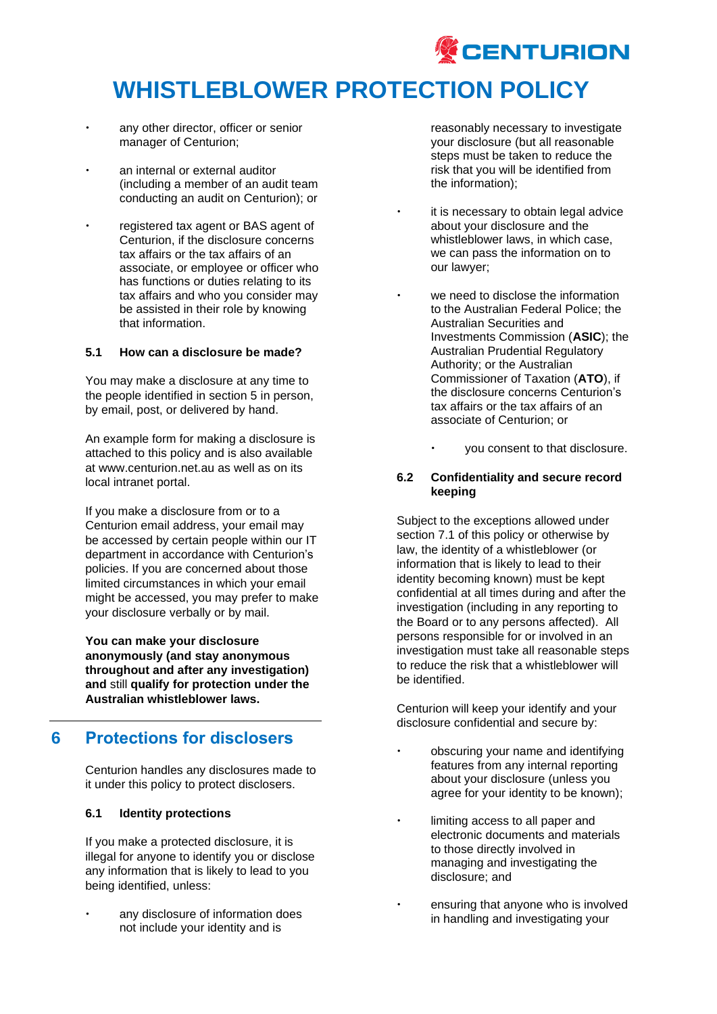

- any other director, officer or senior manager of Centurion;
- an internal or external auditor (including a member of an audit team conducting an audit on Centurion); or
- registered tax agent or BAS agent of Centurion, if the disclosure concerns tax affairs or the tax affairs of an associate, or employee or officer who has functions or duties relating to its tax affairs and who you consider may be assisted in their role by knowing that information.

#### **5.1 How can a disclosure be made?**

You may make a disclosure at any time to the people identified in section 5 in person, by email, post, or delivered by hand.

An example form for making a disclosure is attached to this policy and is also available at www.centurion.net.au as well as on its local intranet portal.

If you make a disclosure from or to a Centurion email address, your email may be accessed by certain people within our IT department in accordance with Centurion's policies. If you are concerned about those limited circumstances in which your email might be accessed, you may prefer to make your disclosure verbally or by mail.

**You can make your disclosure anonymously (and stay anonymous throughout and after any investigation) and** still **qualify for protection under the Australian whistleblower laws.**

## **6 Protections for disclosers**

Centurion handles any disclosures made to it under this policy to protect disclosers.

#### **6.1 Identity protections**

If you make a protected disclosure, it is illegal for anyone to identify you or disclose any information that is likely to lead to you being identified, unless:

 any disclosure of information does not include your identity and is

reasonably necessary to investigate your disclosure (but all reasonable steps must be taken to reduce the risk that you will be identified from the information);

- it is necessary to obtain legal advice about your disclosure and the whistleblower laws, in which case, we can pass the information on to our lawyer;
- we need to disclose the information to the Australian Federal Police; the Australian Securities and Investments Commission (**ASIC**); the Australian Prudential Regulatory Authority; or the Australian Commissioner of Taxation (**ATO**), if the disclosure concerns Centurion's tax affairs or the tax affairs of an associate of Centurion; or
	- you consent to that disclosure.

### **6.2 Confidentiality and secure record keeping**

Subject to the exceptions allowed under section 7.1 of this policy or otherwise by law, the identity of a whistleblower (or information that is likely to lead to their identity becoming known) must be kept confidential at all times during and after the investigation (including in any reporting to the Board or to any persons affected). All persons responsible for or involved in an investigation must take all reasonable steps to reduce the risk that a whistleblower will be identified.

Centurion will keep your identify and your disclosure confidential and secure by:

- obscuring your name and identifying features from any internal reporting about your disclosure (unless you agree for your identity to be known);
- limiting access to all paper and electronic documents and materials to those directly involved in managing and investigating the disclosure; and
- ensuring that anyone who is involved in handling and investigating your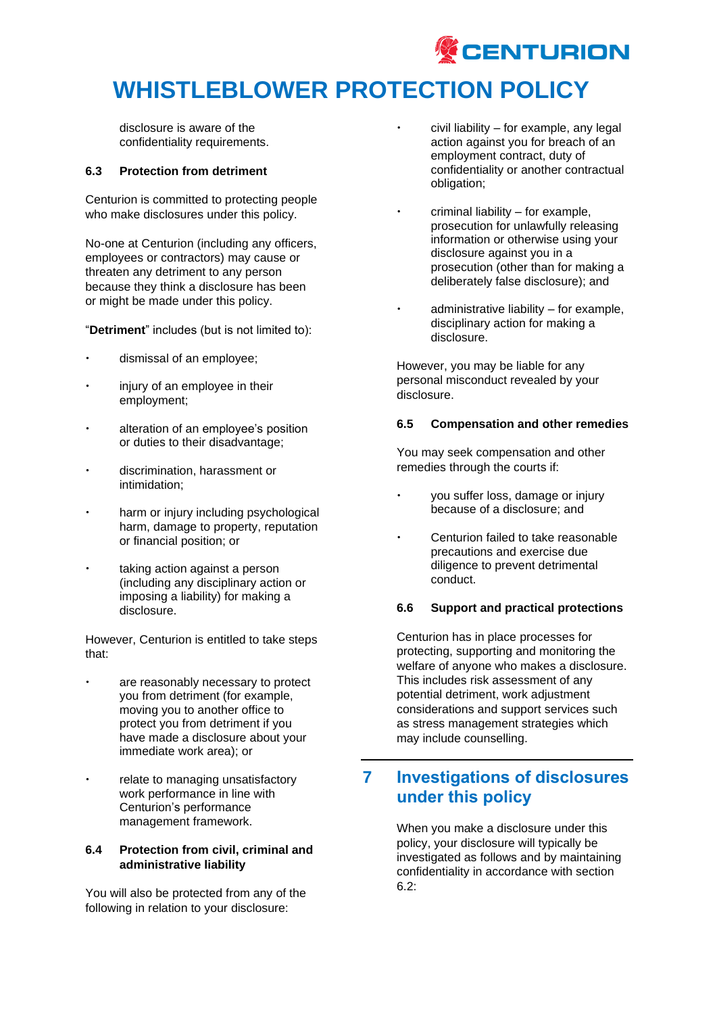

disclosure is aware of the confidentiality requirements.

#### **6.3 Protection from detriment**

Centurion is committed to protecting people who make disclosures under this policy.

No-one at Centurion (including any officers, employees or contractors) may cause or threaten any detriment to any person because they think a disclosure has been or might be made under this policy.

"**Detriment**" includes (but is not limited to):

- dismissal of an employee;
- injury of an employee in their employment;
- alteration of an employee's position or duties to their disadvantage;
- discrimination, harassment or intimidation;
- harm or injury including psychological harm, damage to property, reputation or financial position; or
- taking action against a person (including any disciplinary action or imposing a liability) for making a disclosure.

However, Centurion is entitled to take steps that:

- are reasonably necessary to protect you from detriment (for example, moving you to another office to protect you from detriment if you have made a disclosure about your immediate work area); or
- relate to managing unsatisfactory work performance in line with Centurion's performance management framework.

### **6.4 Protection from civil, criminal and administrative liability**

You will also be protected from any of the following in relation to your disclosure:

- civil liability for example, any legal action against you for breach of an employment contract, duty of confidentiality or another contractual obligation;
- criminal liability for example, prosecution for unlawfully releasing information or otherwise using your disclosure against you in a prosecution (other than for making a deliberately false disclosure); and
- administrative liability for example, disciplinary action for making a disclosure.

However, you may be liable for any personal misconduct revealed by your disclosure.

### **6.5 Compensation and other remedies**

You may seek compensation and other remedies through the courts if:

- you suffer loss, damage or injury because of a disclosure; and
- Centurion failed to take reasonable precautions and exercise due diligence to prevent detrimental conduct.

### **6.6 Support and practical protections**

Centurion has in place processes for protecting, supporting and monitoring the welfare of anyone who makes a disclosure. This includes risk assessment of any potential detriment, work adjustment considerations and support services such as stress management strategies which may include counselling.

## **7 Investigations of disclosures under this policy**

When you make a disclosure under this policy, your disclosure will typically be investigated as follows and by maintaining confidentiality in accordance with section 6.2: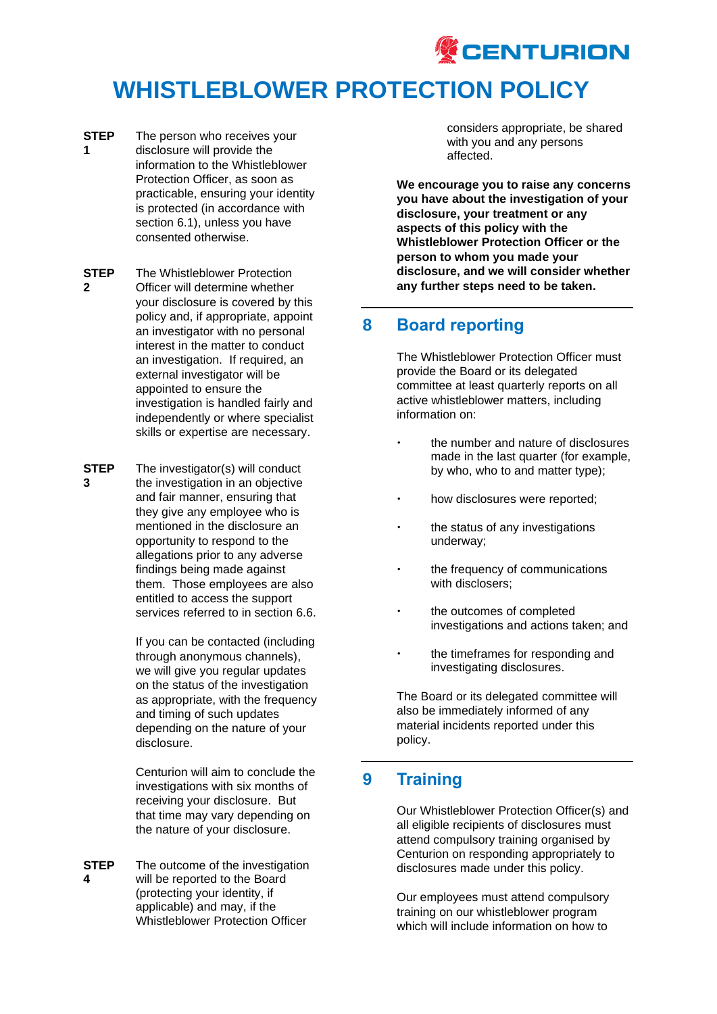

- **STEP 1** The person who receives your disclosure will provide the information to the Whistleblower Protection Officer, as soon as practicable, ensuring your identity is protected (in accordance with section 6.1), unless you have consented otherwise.
- **STEP 2** The Whistleblower Protection Officer will determine whether your disclosure is covered by this policy and, if appropriate, appoint an investigator with no personal interest in the matter to conduct an investigation. If required, an external investigator will be appointed to ensure the investigation is handled fairly and independently or where specialist skills or expertise are necessary.
- **STEP 3** The investigator(s) will conduct the investigation in an objective and fair manner, ensuring that they give any employee who is mentioned in the disclosure an opportunity to respond to the allegations prior to any adverse findings being made against them. Those employees are also entitled to access the support services referred to in section 6.6.

If you can be contacted (including through anonymous channels), we will give you regular updates on the status of the investigation as appropriate, with the frequency and timing of such updates depending on the nature of your disclosure.

Centurion will aim to conclude the investigations with six months of receiving your disclosure. But that time may vary depending on the nature of your disclosure.

**STEP 4** The outcome of the investigation will be reported to the Board (protecting your identity, if applicable) and may, if the Whistleblower Protection Officer

considers appropriate, be shared with you and any persons affected.

**We encourage you to raise any concerns you have about the investigation of your disclosure, your treatment or any aspects of this policy with the Whistleblower Protection Officer or the person to whom you made your disclosure, and we will consider whether any further steps need to be taken.**

## **8 Board reporting**

The Whistleblower Protection Officer must provide the Board or its delegated committee at least quarterly reports on all active whistleblower matters, including information on:

- $\cdot$  the number and nature of disclosures made in the last quarter (for example, by who, who to and matter type);
- how disclosures were reported;
- the status of any investigations underway;
- the frequency of communications with disclosers;
- the outcomes of completed investigations and actions taken; and
- the timeframes for responding and investigating disclosures.

The Board or its delegated committee will also be immediately informed of any material incidents reported under this policy.

### **9 Training**

Our Whistleblower Protection Officer(s) and all eligible recipients of disclosures must attend compulsory training organised by Centurion on responding appropriately to disclosures made under this policy.

Our employees must attend compulsory training on our whistleblower program which will include information on how to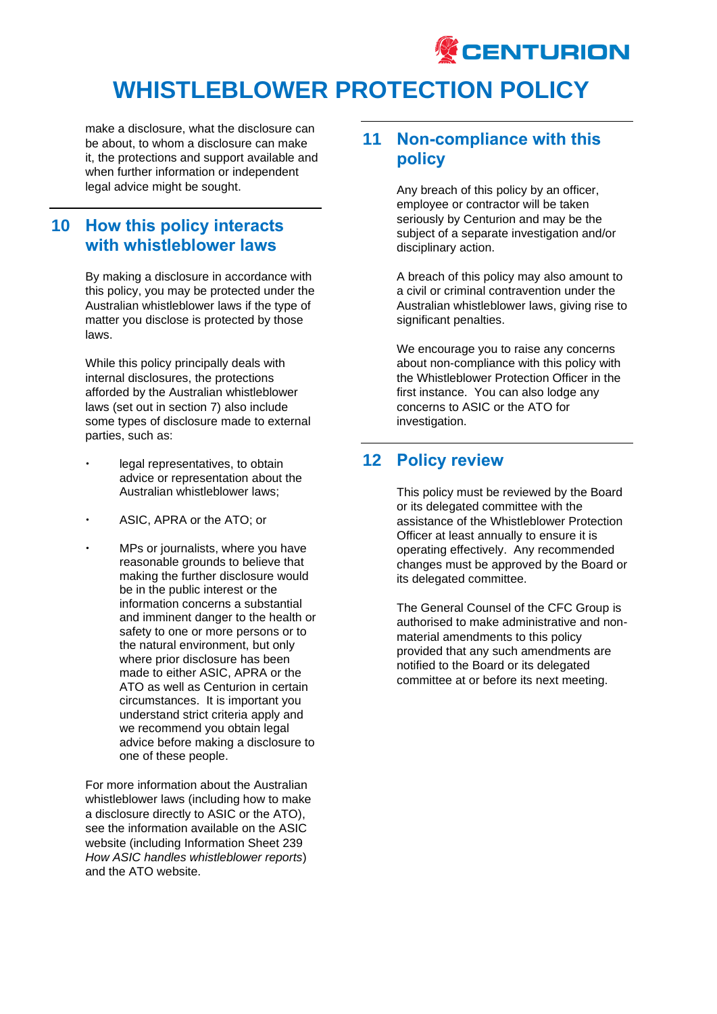

make a disclosure, what the disclosure can be about, to whom a disclosure can make it, the protections and support available and when further information or independent legal advice might be sought.

### **10 How this policy interacts with whistleblower laws**

By making a disclosure in accordance with this policy, you may be protected under the Australian whistleblower laws if the type of matter you disclose is protected by those laws.

While this policy principally deals with internal disclosures, the protections afforded by the Australian whistleblower laws (set out in section 7) also include some types of disclosure made to external parties, such as:

- legal representatives, to obtain advice or representation about the Australian whistleblower laws;
- ASIC, APRA or the ATO; or
- MPs or journalists, where you have reasonable grounds to believe that making the further disclosure would be in the public interest or the information concerns a substantial and imminent danger to the health or safety to one or more persons or to the natural environment, but only where prior disclosure has been made to either ASIC, APRA or the ATO as well as Centurion in certain circumstances. It is important you understand strict criteria apply and we recommend you obtain legal advice before making a disclosure to one of these people.

For more information about the Australian whistleblower laws (including how to make a disclosure directly to ASIC or the ATO), see the information available on the ASIC website (including Information Sheet 239 *How ASIC handles whistleblower reports*) and the ATO website.

## **11 Non-compliance with this policy**

Any breach of this policy by an officer, employee or contractor will be taken seriously by Centurion and may be the subject of a separate investigation and/or disciplinary action.

A breach of this policy may also amount to a civil or criminal contravention under the Australian whistleblower laws, giving rise to significant penalties.

We encourage you to raise any concerns about non-compliance with this policy with the Whistleblower Protection Officer in the first instance. You can also lodge any concerns to ASIC or the ATO for investigation.

## **12 Policy review**

This policy must be reviewed by the Board or its delegated committee with the assistance of the Whistleblower Protection Officer at least annually to ensure it is operating effectively. Any recommended changes must be approved by the Board or its delegated committee.

The General Counsel of the CFC Group is authorised to make administrative and nonmaterial amendments to this policy provided that any such amendments are notified to the Board or its delegated committee at or before its next meeting.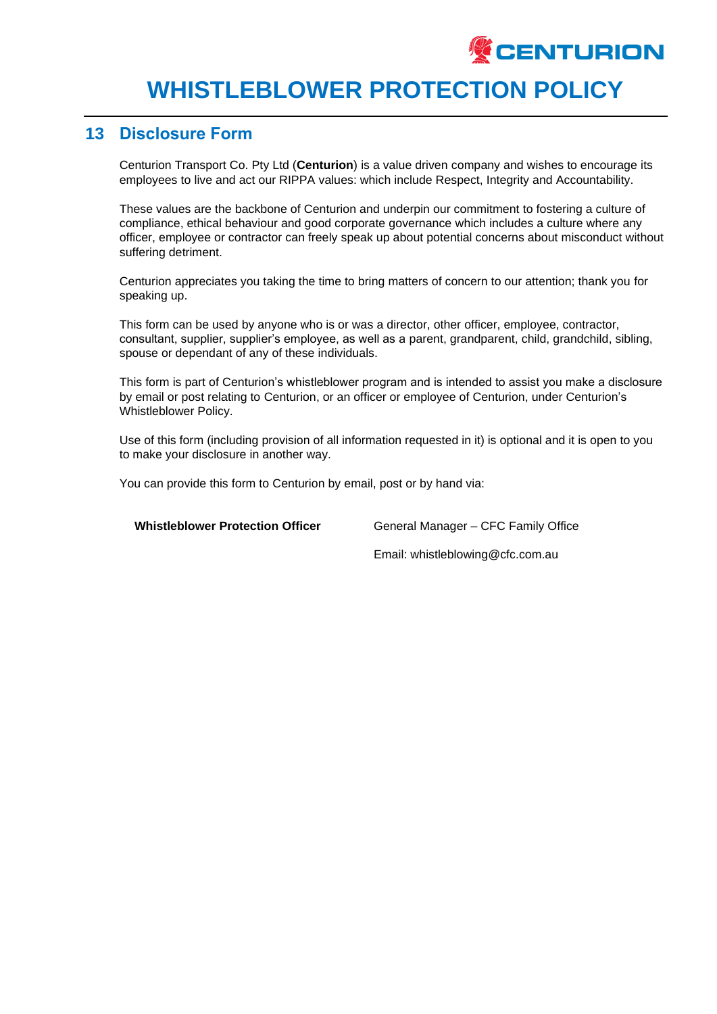

### **13 Disclosure Form**

Centurion Transport Co. Pty Ltd (**Centurion**) is a value driven company and wishes to encourage its employees to live and act our RIPPA values: which include Respect, Integrity and Accountability.

These values are the backbone of Centurion and underpin our commitment to fostering a culture of compliance, ethical behaviour and good corporate governance which includes a culture where any officer, employee or contractor can freely speak up about potential concerns about misconduct without suffering detriment.

Centurion appreciates you taking the time to bring matters of concern to our attention; thank you for speaking up.

This form can be used by anyone who is or was a director, other officer, employee, contractor, consultant, supplier, supplier's employee, as well as a parent, grandparent, child, grandchild, sibling, spouse or dependant of any of these individuals.

This form is part of Centurion's whistleblower program and is intended to assist you make a disclosure by email or post relating to Centurion, or an officer or employee of Centurion, under Centurion's Whistleblower Policy.

Use of this form (including provision of all information requested in it) is optional and it is open to you to make your disclosure in another way.

You can provide this form to Centurion by email, post or by hand via:

**Whistleblower Protection Officer** General Manager – CFC Family Office

Email: whistleblowing@cfc.com.au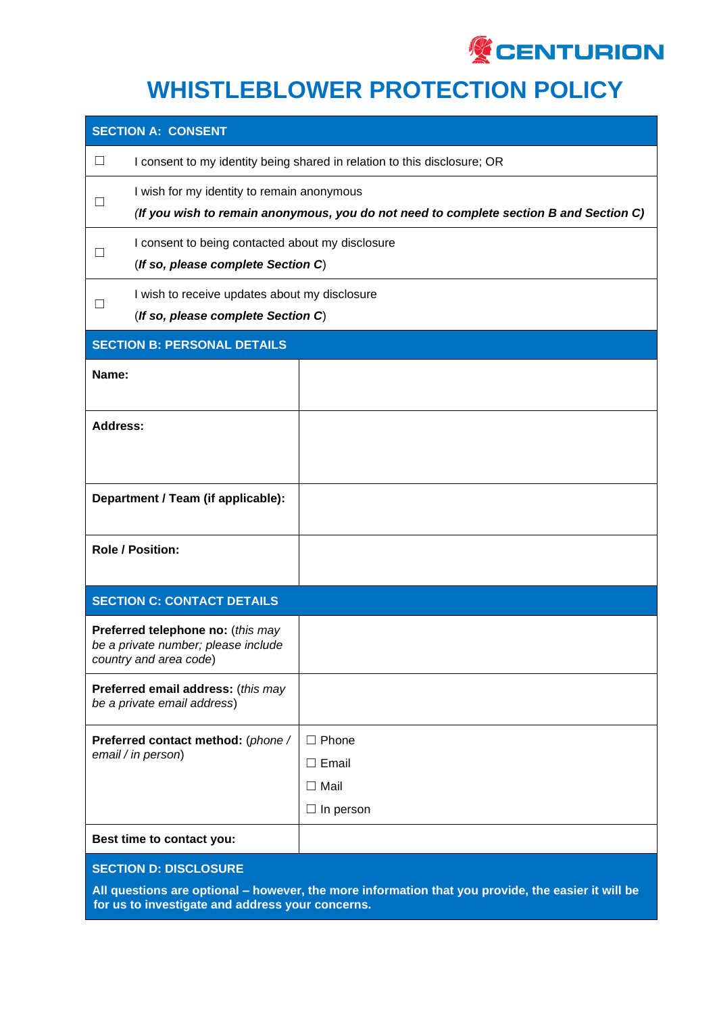

| <b>SECTION A: CONSENT</b>                                                                                                          |                                                                                                                                      |                                                               |  |  |
|------------------------------------------------------------------------------------------------------------------------------------|--------------------------------------------------------------------------------------------------------------------------------------|---------------------------------------------------------------|--|--|
| $\Box$                                                                                                                             | I consent to my identity being shared in relation to this disclosure; OR                                                             |                                                               |  |  |
|                                                                                                                                    | I wish for my identity to remain anonymous<br>(If you wish to remain anonymous, you do not need to complete section B and Section C) |                                                               |  |  |
| $\mathsf{L}$                                                                                                                       | I consent to being contacted about my disclosure<br>(If so, please complete Section C)                                               |                                                               |  |  |
| $\perp$                                                                                                                            | I wish to receive updates about my disclosure<br>(If so, please complete Section C)                                                  |                                                               |  |  |
| <b>SECTION B: PERSONAL DETAILS</b>                                                                                                 |                                                                                                                                      |                                                               |  |  |
| Name:                                                                                                                              |                                                                                                                                      |                                                               |  |  |
| <b>Address:</b>                                                                                                                    |                                                                                                                                      |                                                               |  |  |
| Department / Team (if applicable):                                                                                                 |                                                                                                                                      |                                                               |  |  |
| <b>Role / Position:</b>                                                                                                            |                                                                                                                                      |                                                               |  |  |
| <b>SECTION C: CONTACT DETAILS</b>                                                                                                  |                                                                                                                                      |                                                               |  |  |
| Preferred telephone no: (this may<br>be a private number; please include<br>country and area code)                                 |                                                                                                                                      |                                                               |  |  |
| Preferred email address: (this may<br>be a private email address)                                                                  |                                                                                                                                      |                                                               |  |  |
|                                                                                                                                    | Preferred contact method: (phone /<br>email / in person)                                                                             | $\Box$ Phone<br>$\Box$ Email<br>$\Box$ Mail<br>In person<br>ப |  |  |
|                                                                                                                                    | Best time to contact you:                                                                                                            |                                                               |  |  |
| <b>SECTION D: DISCLOSURE</b><br>All questions are optional - however, the more information that you provide, the easier it will be |                                                                                                                                      |                                                               |  |  |

**for us to investigate and address your concerns.**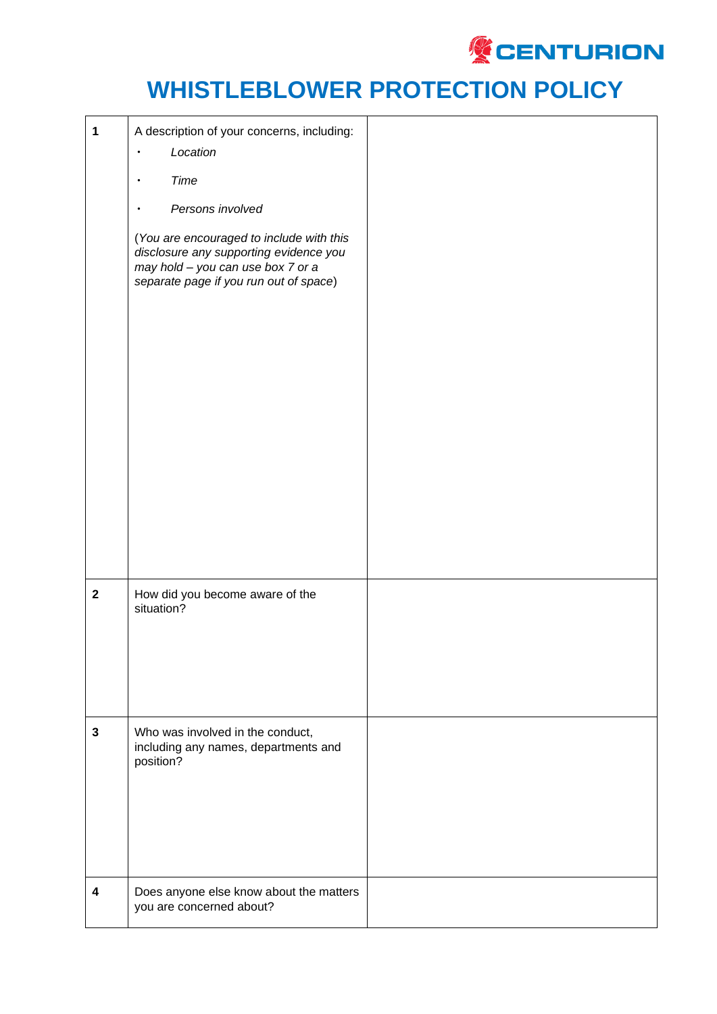

| $\mathbf 1$             | A description of your concerns, including:<br>Location<br>$\bullet$<br>Time<br>$\bullet$<br>Persons involved<br>(You are encouraged to include with this<br>disclosure any supporting evidence you<br>may hold - you can use box 7 or a<br>separate page if you run out of space) |  |
|-------------------------|-----------------------------------------------------------------------------------------------------------------------------------------------------------------------------------------------------------------------------------------------------------------------------------|--|
| $\mathbf 2$             | How did you become aware of the<br>situation?                                                                                                                                                                                                                                     |  |
| $\mathbf{3}$            | Who was involved in the conduct,<br>including any names, departments and<br>position?                                                                                                                                                                                             |  |
| $\overline{\mathbf{4}}$ | Does anyone else know about the matters<br>you are concerned about?                                                                                                                                                                                                               |  |